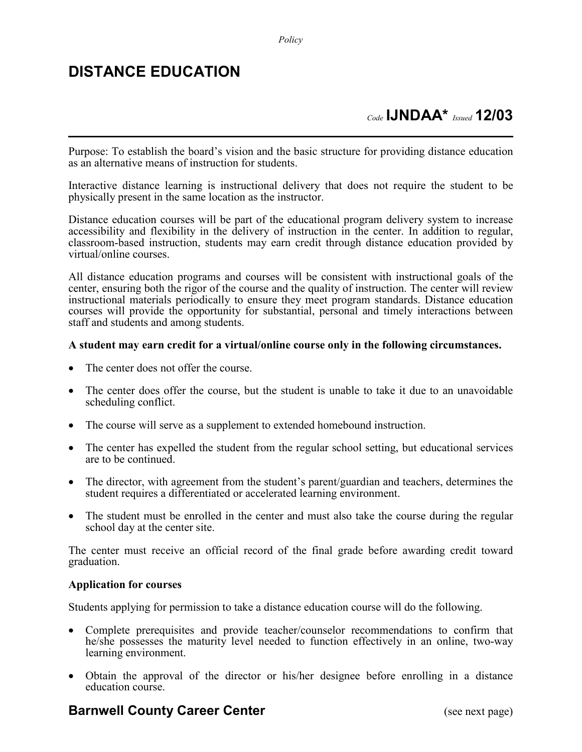## **DISTANCE EDUCATION**

## *Code* **IJNDAA\*** *Issued* **12/03**

Purpose: To establish the board's vision and the basic structure for providing distance education as an alternative means of instruction for students.

Interactive distance learning is instructional delivery that does not require the student to be physically present in the same location as the instructor.

Distance education courses will be part of the educational program delivery system to increase accessibility and flexibility in the delivery of instruction in the center. In addition to regular, classroom-based instruction, students may earn credit through distance education provided by virtual/online courses.

All distance education programs and courses will be consistent with instructional goals of the center, ensuring both the rigor of the course and the quality of instruction. The center will review instructional materials periodically to ensure they meet program standards. Distance education courses will provide the opportunity for substantial, personal and timely interactions between staff and students and among students.

#### **A student may earn credit for a virtual/online course only in the following circumstances.**

- The center does not offer the course.
- The center does offer the course, but the student is unable to take it due to an unavoidable scheduling conflict.
- The course will serve as a supplement to extended homebound instruction.
- The center has expelled the student from the regular school setting, but educational services are to be continued.
- The director, with agreement from the student's parent/guardian and teachers, determines the student requires a differentiated or accelerated learning environment.
- The student must be enrolled in the center and must also take the course during the regular school day at the center site.

The center must receive an official record of the final grade before awarding credit toward graduation.

#### **Application for courses**

Students applying for permission to take a distance education course will do the following.

- Complete prerequisites and provide teacher/counselor recommendations to confirm that he/she possesses the maturity level needed to function effectively in an online, two-way learning environment.
- Obtain the approval of the director or his/her designee before enrolling in a distance education course.

### **Barnwell County Career Center** (see next page)